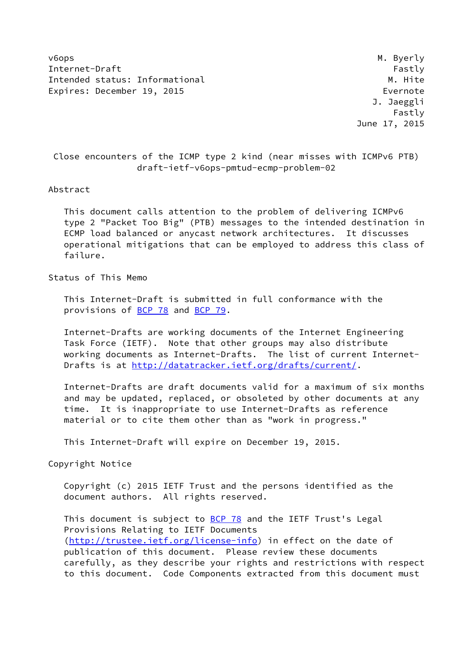v6ops M. Byerly Internet-Draft Fastly Fastly Intended status: Informational M. Hite Expires: December 19, 2015 **Expires: December 19, 2015** 

 J. Jaeggli Fastly June 17, 2015

 Close encounters of the ICMP type 2 kind (near misses with ICMPv6 PTB) draft-ietf-v6ops-pmtud-ecmp-problem-02

#### Abstract

 This document calls attention to the problem of delivering ICMPv6 type 2 "Packet Too Big" (PTB) messages to the intended destination in ECMP load balanced or anycast network architectures. It discusses operational mitigations that can be employed to address this class of failure.

Status of This Memo

 This Internet-Draft is submitted in full conformance with the provisions of **BCP 78** and **BCP 79**.

 Internet-Drafts are working documents of the Internet Engineering Task Force (IETF). Note that other groups may also distribute working documents as Internet-Drafts. The list of current Internet Drafts is at<http://datatracker.ietf.org/drafts/current/>.

 Internet-Drafts are draft documents valid for a maximum of six months and may be updated, replaced, or obsoleted by other documents at any time. It is inappropriate to use Internet-Drafts as reference material or to cite them other than as "work in progress."

This Internet-Draft will expire on December 19, 2015.

Copyright Notice

 Copyright (c) 2015 IETF Trust and the persons identified as the document authors. All rights reserved.

This document is subject to **[BCP 78](https://datatracker.ietf.org/doc/pdf/bcp78)** and the IETF Trust's Legal Provisions Relating to IETF Documents [\(http://trustee.ietf.org/license-info](http://trustee.ietf.org/license-info)) in effect on the date of publication of this document. Please review these documents carefully, as they describe your rights and restrictions with respect to this document. Code Components extracted from this document must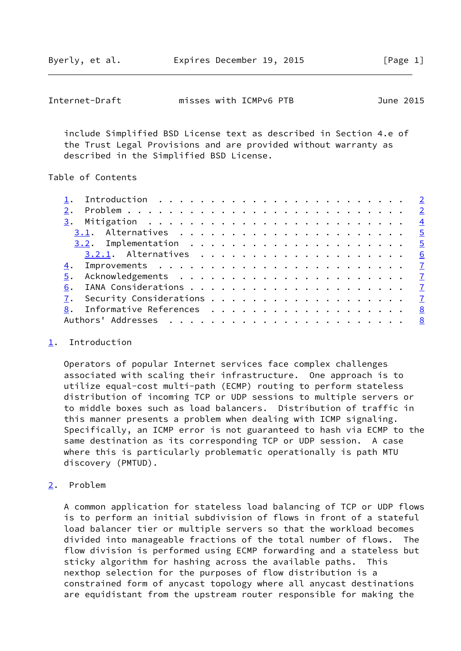<span id="page-1-1"></span>

| misses with ICMPv6 PTB<br>Internet-Draft | June 2015 |
|------------------------------------------|-----------|
|------------------------------------------|-----------|

 include Simplified BSD License text as described in Section 4.e of the Trust Legal Provisions and are provided without warranty as described in the Simplified BSD License.

### Table of Contents

| 6. |   |
|----|---|
|    |   |
|    | 8 |
|    |   |
|    |   |

### <span id="page-1-0"></span>[1](#page-1-0). Introduction

 Operators of popular Internet services face complex challenges associated with scaling their infrastructure. One approach is to utilize equal-cost multi-path (ECMP) routing to perform stateless distribution of incoming TCP or UDP sessions to multiple servers or to middle boxes such as load balancers. Distribution of traffic in this manner presents a problem when dealing with ICMP signaling. Specifically, an ICMP error is not guaranteed to hash via ECMP to the same destination as its corresponding TCP or UDP session. A case where this is particularly problematic operationally is path MTU discovery (PMTUD).

### <span id="page-1-2"></span>[2](#page-1-2). Problem

 A common application for stateless load balancing of TCP or UDP flows is to perform an initial subdivision of flows in front of a stateful load balancer tier or multiple servers so that the workload becomes divided into manageable fractions of the total number of flows. The flow division is performed using ECMP forwarding and a stateless but sticky algorithm for hashing across the available paths. This nexthop selection for the purposes of flow distribution is a constrained form of anycast topology where all anycast destinations are equidistant from the upstream router responsible for making the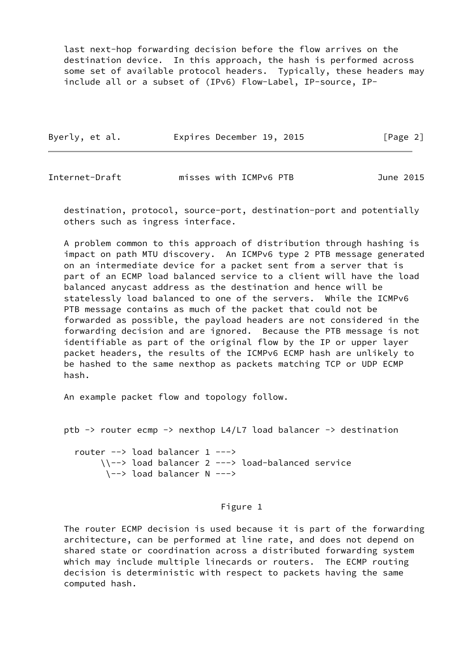last next-hop forwarding decision before the flow arrives on the destination device. In this approach, the hash is performed across some set of available protocol headers. Typically, these headers may include all or a subset of (IPv6) Flow-Label, IP-source, IP-

|  | Byerly, et al. | Expires December 19, 2015 | [Page 2] |
|--|----------------|---------------------------|----------|
|--|----------------|---------------------------|----------|

Internet-Draft misses with ICMPv6 PTB June 2015

 destination, protocol, source-port, destination-port and potentially others such as ingress interface.

 A problem common to this approach of distribution through hashing is impact on path MTU discovery. An ICMPv6 type 2 PTB message generated on an intermediate device for a packet sent from a server that is part of an ECMP load balanced service to a client will have the load balanced anycast address as the destination and hence will be statelessly load balanced to one of the servers. While the ICMPv6 PTB message contains as much of the packet that could not be forwarded as possible, the payload headers are not considered in the forwarding decision and are ignored. Because the PTB message is not identifiable as part of the original flow by the IP or upper layer packet headers, the results of the ICMPv6 ECMP hash are unlikely to be hashed to the same nexthop as packets matching TCP or UDP ECMP hash.

An example packet flow and topology follow.

```
 ptb -> router ecmp -> nexthop L4/L7 load balancer -> destination
```
 router --> load balancer 1 ---> \\--> load balancer 2 ---> load-balanced service \--> load balancer N --->

## Figure 1

 The router ECMP decision is used because it is part of the forwarding architecture, can be performed at line rate, and does not depend on shared state or coordination across a distributed forwarding system which may include multiple linecards or routers. The ECMP routing decision is deterministic with respect to packets having the same computed hash.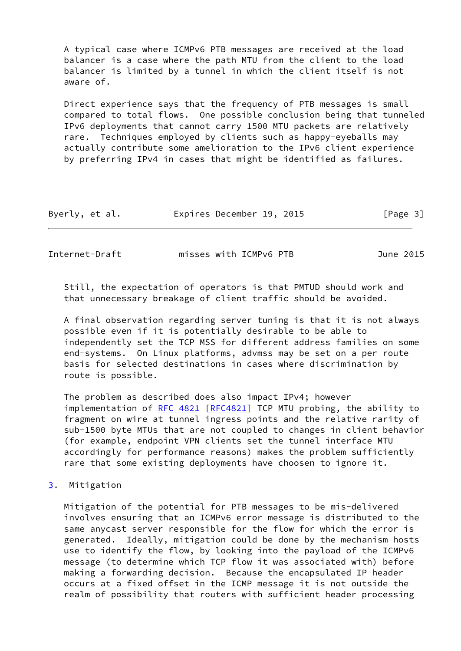A typical case where ICMPv6 PTB messages are received at the load balancer is a case where the path MTU from the client to the load balancer is limited by a tunnel in which the client itself is not aware of.

 Direct experience says that the frequency of PTB messages is small compared to total flows. One possible conclusion being that tunneled IPv6 deployments that cannot carry 1500 MTU packets are relatively rare. Techniques employed by clients such as happy-eyeballs may actually contribute some amelioration to the IPv6 client experience by preferring IPv4 in cases that might be identified as failures.

| Byerly, et al. | Expires December 19, 2015 |  | [Page 3] |
|----------------|---------------------------|--|----------|
|----------------|---------------------------|--|----------|

<span id="page-3-1"></span>Internet-Draft misses with ICMPv6 PTB June 2015

 Still, the expectation of operators is that PMTUD should work and that unnecessary breakage of client traffic should be avoided.

 A final observation regarding server tuning is that it is not always possible even if it is potentially desirable to be able to independently set the TCP MSS for different address families on some end-systems. On Linux platforms, advmss may be set on a per route basis for selected destinations in cases where discrimination by route is possible.

 The problem as described does also impact IPv4; however implementation of [RFC 4821](https://datatracker.ietf.org/doc/pdf/rfc4821) [[RFC4821\]](https://datatracker.ietf.org/doc/pdf/rfc4821) TCP MTU probing, the ability to fragment on wire at tunnel ingress points and the relative rarity of sub-1500 byte MTUs that are not coupled to changes in client behavior (for example, endpoint VPN clients set the tunnel interface MTU accordingly for performance reasons) makes the problem sufficiently rare that some existing deployments have choosen to ignore it.

<span id="page-3-0"></span>[3](#page-3-0). Mitigation

 Mitigation of the potential for PTB messages to be mis-delivered involves ensuring that an ICMPv6 error message is distributed to the same anycast server responsible for the flow for which the error is generated. Ideally, mitigation could be done by the mechanism hosts use to identify the flow, by looking into the payload of the ICMPv6 message (to determine which TCP flow it was associated with) before making a forwarding decision. Because the encapsulated IP header occurs at a fixed offset in the ICMP message it is not outside the realm of possibility that routers with sufficient header processing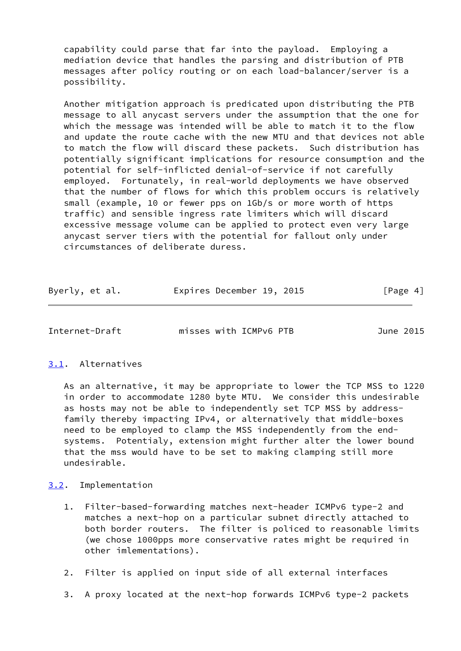capability could parse that far into the payload. Employing a mediation device that handles the parsing and distribution of PTB messages after policy routing or on each load-balancer/server is a possibility.

 Another mitigation approach is predicated upon distributing the PTB message to all anycast servers under the assumption that the one for which the message was intended will be able to match it to the flow and update the route cache with the new MTU and that devices not able to match the flow will discard these packets. Such distribution has potentially significant implications for resource consumption and the potential for self-inflicted denial-of-service if not carefully employed. Fortunately, in real-world deployments we have observed that the number of flows for which this problem occurs is relatively small (example, 10 or fewer pps on 1Gb/s or more worth of https traffic) and sensible ingress rate limiters which will discard excessive message volume can be applied to protect even very large anycast server tiers with the potential for fallout only under circumstances of deliberate duress.

| Byerly, et al. | Expires December 19, 2015 | [Page 4] |
|----------------|---------------------------|----------|
|----------------|---------------------------|----------|

<span id="page-4-1"></span>Internet-Draft misses with ICMPv6 PTB June 2015

## <span id="page-4-0"></span>[3.1](#page-4-0). Alternatives

 As an alternative, it may be appropriate to lower the TCP MSS to 1220 in order to accommodate 1280 byte MTU. We consider this undesirable as hosts may not be able to independently set TCP MSS by address family thereby impacting IPv4, or alternatively that middle-boxes need to be employed to clamp the MSS independently from the end systems. Potentialy, extension might further alter the lower bound that the mss would have to be set to making clamping still more undesirable.

## <span id="page-4-2"></span>[3.2](#page-4-2). Implementation

- 1. Filter-based-forwarding matches next-header ICMPv6 type-2 and matches a next-hop on a particular subnet directly attached to both border routers. The filter is policed to reasonable limits (we chose 1000pps more conservative rates might be required in other imlementations).
- 2. Filter is applied on input side of all external interfaces
- 3. A proxy located at the next-hop forwards ICMPv6 type-2 packets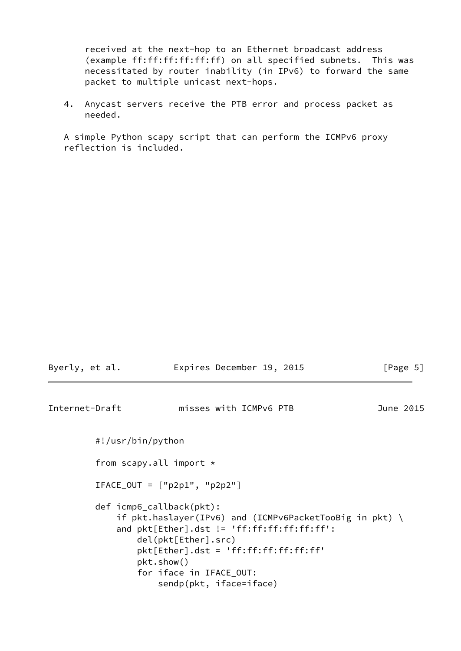received at the next-hop to an Ethernet broadcast address (example ff:ff:ff:ff:ff:ff) on all specified subnets. This was necessitated by router inability (in IPv6) to forward the same packet to multiple unicast next-hops.

 4. Anycast servers receive the PTB error and process packet as needed.

 A simple Python scapy script that can perform the ICMPv6 proxy reflection is included.

<span id="page-5-0"></span>

| Byerly, et al. |                               | Expires December 19, 2015                                                                                                                                                                                                                                                       | [Page 5]  |  |
|----------------|-------------------------------|---------------------------------------------------------------------------------------------------------------------------------------------------------------------------------------------------------------------------------------------------------------------------------|-----------|--|
| Internet-Draft |                               | misses with ICMPv6 PTB                                                                                                                                                                                                                                                          | June 2015 |  |
|                | #!/usr/bin/python             |                                                                                                                                                                                                                                                                                 |           |  |
|                | from scapy.all import $\star$ |                                                                                                                                                                                                                                                                                 |           |  |
|                |                               | $IFACE_OUT = ['p2p1", "p2p2"]$                                                                                                                                                                                                                                                  |           |  |
|                |                               | def icmp6_callback(pkt):<br>if pkt.haslayer(IPv6) and (ICMPv6PacketTooBig in pkt) $\setminus$<br>and $plt[Ether].dst != 'ff:ff:ff:ff:ff':$<br>del(pkt[Ether].src)<br>$plt[Ether].dst = 'ff:ff:ff:ff:ff;ff'$<br>pkt.show()<br>for iface in IFACE_OUT:<br>sendp(pkt, iface=iface) |           |  |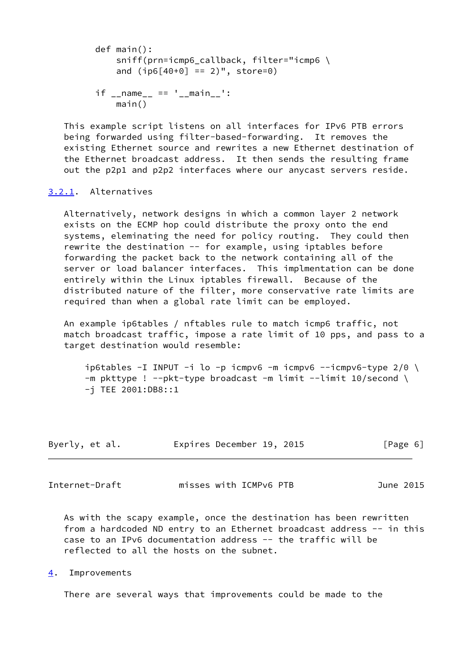```
 def main():
     sniff(prn=icmp6_callback, filter="icmp6 \
    and (i p6[40+0] == 2)", store=0)
if __name__ == ' __main__':
     main()
```
 This example script listens on all interfaces for IPv6 PTB errors being forwarded using filter-based-forwarding. It removes the existing Ethernet source and rewrites a new Ethernet destination of the Ethernet broadcast address. It then sends the resulting frame out the p2p1 and p2p2 interfaces where our anycast servers reside.

# <span id="page-6-0"></span>[3.2.1](#page-6-0). Alternatives

 Alternatively, network designs in which a common layer 2 network exists on the ECMP hop could distribute the proxy onto the end systems, eleminating the need for policy routing. They could then rewrite the destination -- for example, using iptables before forwarding the packet back to the network containing all of the server or load balancer interfaces. This implmentation can be done entirely within the Linux iptables firewall. Because of the distributed nature of the filter, more conservative rate limits are required than when a global rate limit can be employed.

 An example ip6tables / nftables rule to match icmp6 traffic, not match broadcast traffic, impose a rate limit of 10 pps, and pass to a target destination would resemble:

ip6tables -I INPUT -i lo -p icmpv6 -m icmpv6 --icmpv6-type  $2/0$  \  $-m$  pkttype ! --pkt-type broadcast -m limit --limit 10/second \ -j TEE 2001:DB8::1

| Byerly, et al. | Expires December 19, 2015 |  | [Page 6] |
|----------------|---------------------------|--|----------|
|----------------|---------------------------|--|----------|

<span id="page-6-2"></span>Internet-Draft misses with ICMPv6 PTB June 2015

 As with the scapy example, once the destination has been rewritten from a hardcoded ND entry to an Ethernet broadcast address -- in this case to an IPv6 documentation address -- the traffic will be reflected to all the hosts on the subnet.

<span id="page-6-1"></span>[4](#page-6-1). Improvements

There are several ways that improvements could be made to the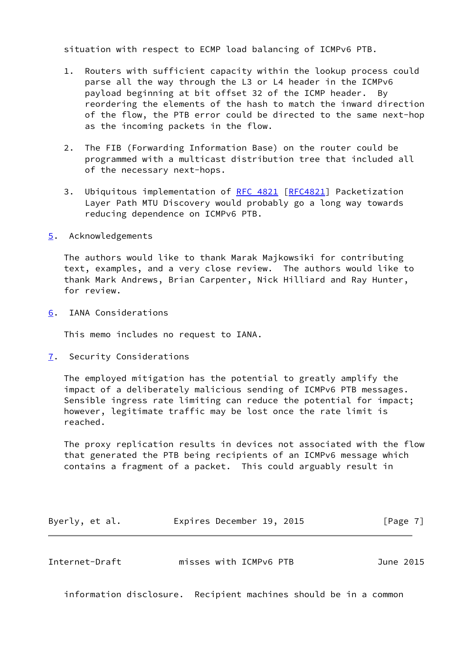situation with respect to ECMP load balancing of ICMPv6 PTB.

- 1. Routers with sufficient capacity within the lookup process could parse all the way through the L3 or L4 header in the ICMPv6 payload beginning at bit offset 32 of the ICMP header. By reordering the elements of the hash to match the inward direction of the flow, the PTB error could be directed to the same next-hop as the incoming packets in the flow.
- 2. The FIB (Forwarding Information Base) on the router could be programmed with a multicast distribution tree that included all of the necessary next-hops.
- 3. Ubiquitous implementation of [RFC 4821](https://datatracker.ietf.org/doc/pdf/rfc4821) [[RFC4821](https://datatracker.ietf.org/doc/pdf/rfc4821)] Packetization Layer Path MTU Discovery would probably go a long way towards reducing dependence on ICMPv6 PTB.
- <span id="page-7-0"></span>[5](#page-7-0). Acknowledgements

 The authors would like to thank Marak Majkowsiki for contributing text, examples, and a very close review. The authors would like to thank Mark Andrews, Brian Carpenter, Nick Hilliard and Ray Hunter, for review.

<span id="page-7-1"></span>[6](#page-7-1). IANA Considerations

This memo includes no request to IANA.

<span id="page-7-2"></span>[7](#page-7-2). Security Considerations

 The employed mitigation has the potential to greatly amplify the impact of a deliberately malicious sending of ICMPv6 PTB messages. Sensible ingress rate limiting can reduce the potential for impact; however, legitimate traffic may be lost once the rate limit is reached.

 The proxy replication results in devices not associated with the flow that generated the PTB being recipients of an ICMPv6 message which contains a fragment of a packet. This could arguably result in

| Byerly, et al. | Expires December 19, 2015 |  | [Page 7] |
|----------------|---------------------------|--|----------|
|----------------|---------------------------|--|----------|

<span id="page-7-3"></span>

| misses with ICMPv6 PTB<br>Internet-Draft<br>June 2015 |  |
|-------------------------------------------------------|--|
|-------------------------------------------------------|--|

information disclosure. Recipient machines should be in a common